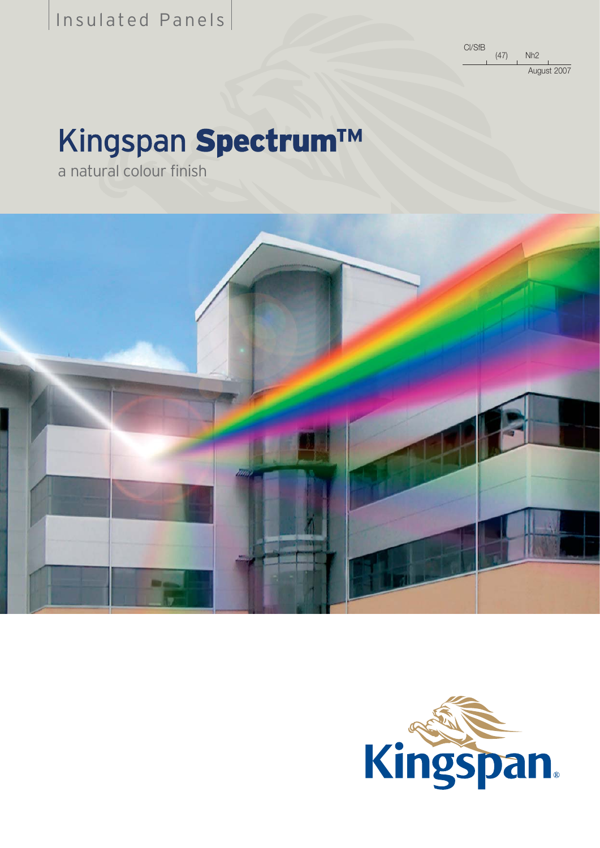Cl/SfB (47) Nh2 August 2007

## Kingspan Spectrum™

a natural colour finish



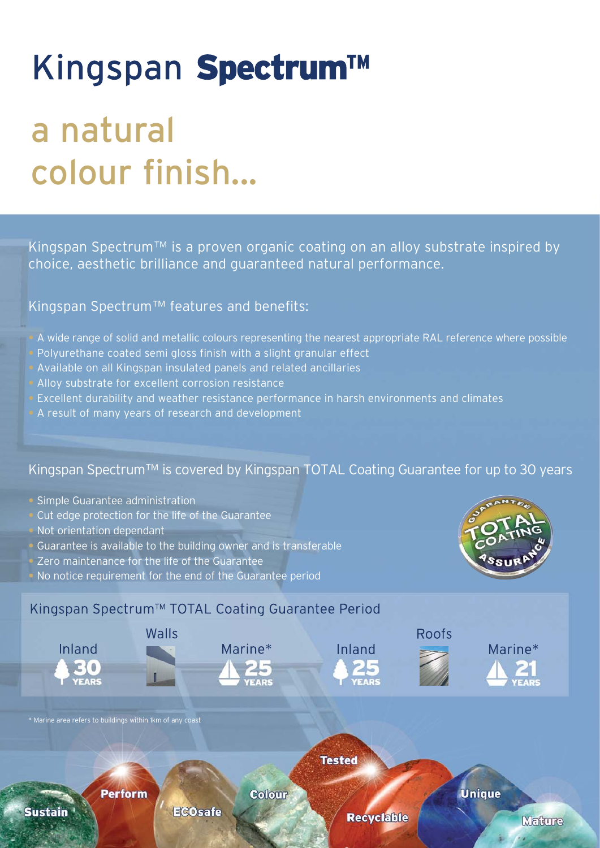# Kingspan Spectrum™

# a natural colour finish...

Kingspan Spectrum™ is a proven organic coating on an alloy substrate inspired by choice, aesthetic brilliance and guaranteed natural performance.

## Kingspan Spectrum™ features and benefits:

- A wide range of solid and metallic colours representing the nearest appropriate RAL reference where possible • Polyurethane coated semi gloss finish with a slight granular effect
- Available on all Kingspan insulated panels and related ancillaries
- Alloy substrate for excellent corrosion resistance
- Excellent durability and weather resistance performance in harsh environments and climates
- A result of many years of research and development

### Kingspan Spectrum™ is covered by Kingspan TOTAL Coating Guarantee for up to 30 years

- Simple Guarantee administration
- Cut edge protection for the life of the Guarantee
- Not orientation dependant
- Guarantee is available to the building owner and is transferable
- Zero maintenance for the life of the Guarantee
- No notice requirement for the end of the Guarantee period



### Kingspan Spectrum<sup>™</sup> TOTAL Coating Guarantee Period

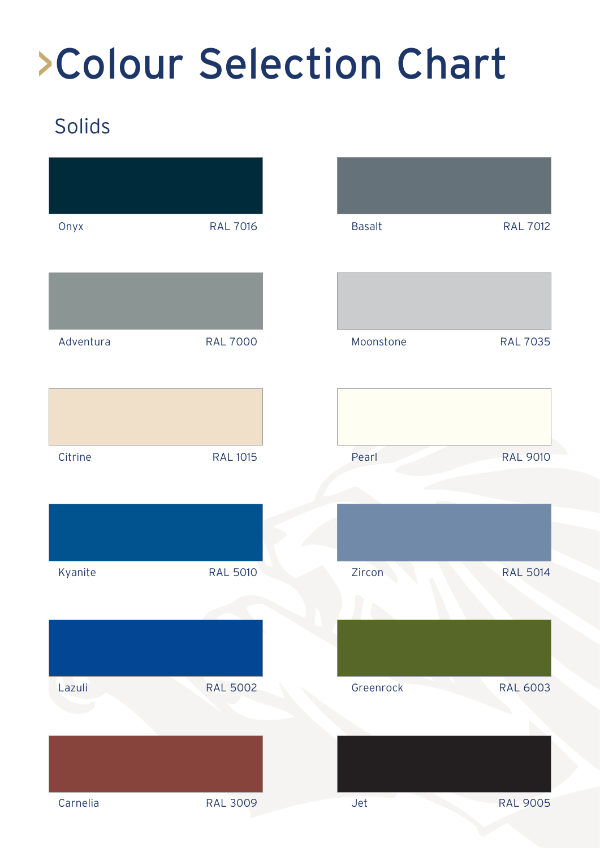# >Colour Selection Chart

## Solids

| Onyx      | <b>RAL 7016</b> | <b>Basalt</b> | <b>RAL 7012</b> |
|-----------|-----------------|---------------|-----------------|
|           |                 |               |                 |
| Adventura | <b>RAL 7000</b> | Moonstone     | <b>RAL 7035</b> |
|           |                 |               |                 |
| Citrine   | <b>RAL 1015</b> | Pearl         | <b>RAL 9010</b> |
|           |                 |               |                 |
| Kyanite   | <b>RAL 5010</b> | Zircon        | <b>RAL 5014</b> |
|           |                 |               |                 |
| Lazuli    | <b>RAL 5002</b> | Greenrock     | <b>RAL 6003</b> |
|           |                 |               |                 |
| Carnelia  | <b>RAL 3009</b> | Jet           | <b>RAL 9005</b> |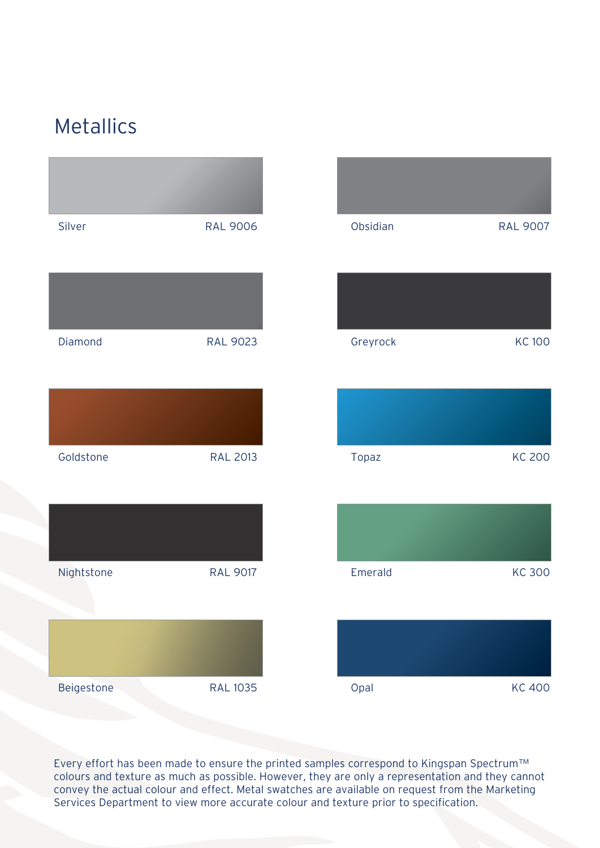## Metallics



Every effort has been made to ensure the printed samples correspond to Kingspan Spectrum™ colours and texture as much as possible. However, they are only a representation and they cannot convey the actual colour and effect. Metal swatches are available on request from the Marketing Services Department to view more accurate colour and texture prior to specification.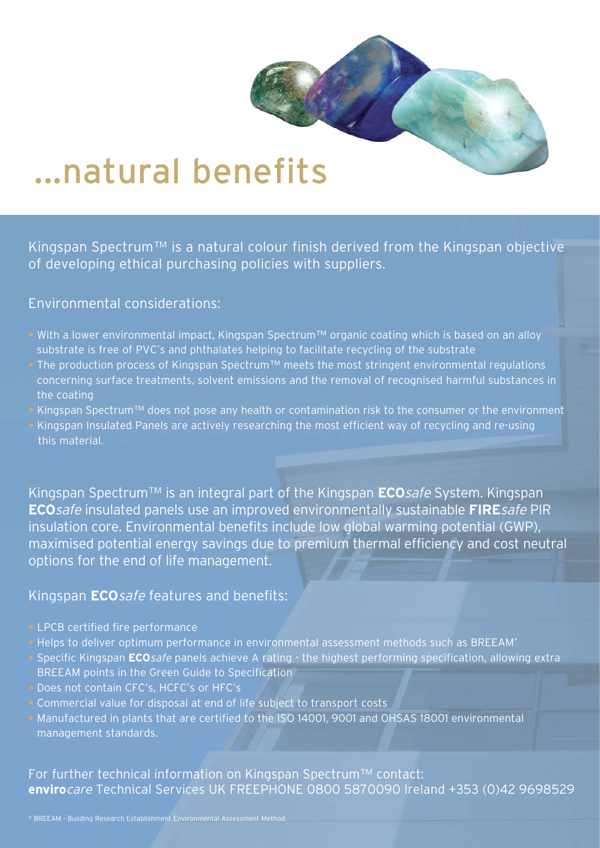## ...natural benefits

Kingspan Spectrum™ is a natural colour finish derived from the Kingspan objective of developing ethical purchasing policies with suppliers.

#### Environmental considerations:

- With a lower environmental impact, Kingspan Spectrum™ organic coating which is based on an alloy substrate is free of PVC's and phthalates helping to facilitate recycling of the substrate • The production process of Kingspan Spectrum™ meets the most stringent environmental regulations
- concerning surface treatments, solvent emissions and the removal of recognised harmful substances in the coating
- Kingspan Spectrum™ does not pose any health or contamination risk to the consumer or the environment • Kingspan Insulated Panels are actively researching the most efficient way of recycling and re-using this material.

Kingspan Spectrum™ is an integral part of the Kingspan **ECO**safe System. Kingspan **ECO**safe insulated panels use an improved environmentally sustainable **FIRE**safe PIR insulation core. Environmental benefits include low global warming potential (GWP), maximised potential energy savings due to premium thermal efficiency and cost neutral options for the end of life management.

### Kingspan **ECO**safe features and benefits:

- LPCB certified fire performance
- Helps to deliver optimum performance in environmental assessment methods such as BREEAM\*
- Specific Kingspan **ECO**safe panels achieve A rating the highest performing specification, allowing extra BREEAM points in the Green Guide to Specification
- Does not contain CFC's, HCFC's or HFC's
- Commercial value for disposal at end of life subject to transport costs
- Manufactured in plants that are certified to the ISO 14001, 9001 and OHSAS 18001 environmental management standards.

For further technical information on Kingspan Spectrum™ contact: **enviro**care Technical Services UK FREEPHONE 0800 5870090 Ireland +353 (0)42 9698529